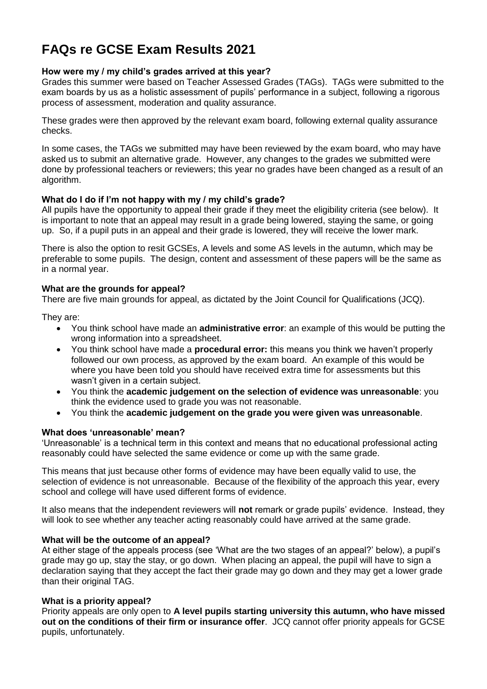# **FAQs re GCSE Exam Results 2021**

# **How were my / my child's grades arrived at this year?**

Grades this summer were based on Teacher Assessed Grades (TAGs). TAGs were submitted to the exam boards by us as a holistic assessment of pupils' performance in a subject, following a rigorous process of assessment, moderation and quality assurance.

These grades were then approved by the relevant exam board, following external quality assurance checks.

In some cases, the TAGs we submitted may have been reviewed by the exam board, who may have asked us to submit an alternative grade. However, any changes to the grades we submitted were done by professional teachers or reviewers; this year no grades have been changed as a result of an algorithm.

# **What do I do if I'm not happy with my / my child's grade?**

All pupils have the opportunity to appeal their grade if they meet the eligibility criteria (see below). It is important to note that an appeal may result in a grade being lowered, staying the same, or going up. So, if a pupil puts in an appeal and their grade is lowered, they will receive the lower mark.

There is also the option to resit GCSEs, A levels and some AS levels in the autumn, which may be preferable to some pupils. The design, content and assessment of these papers will be the same as in a normal year.

# **What are the grounds for appeal?**

There are five main grounds for appeal, as dictated by the Joint Council for Qualifications (JCQ).

They are:

- You think school have made an **administrative error**: an example of this would be putting the wrong information into a spreadsheet.
- You think school have made a **procedural error:** this means you think we haven't properly followed our own process, as approved by the exam board. An example of this would be where you have been told you should have received extra time for assessments but this wasn't given in a certain subject.
- You think the **academic judgement on the selection of evidence was unreasonable**: you think the evidence used to grade you was not reasonable.
- You think the **academic judgement on the grade you were given was unreasonable**.

# **What does 'unreasonable' mean?**

'Unreasonable' is a technical term in this context and means that no educational professional acting reasonably could have selected the same evidence or come up with the same grade.

This means that just because other forms of evidence may have been equally valid to use, the selection of evidence is not unreasonable. Because of the flexibility of the approach this year, every school and college will have used different forms of evidence.

It also means that the independent reviewers will **not** remark or grade pupils' evidence. Instead, they will look to see whether any teacher acting reasonably could have arrived at the same grade.

## **What will be the outcome of an appeal?**

At either stage of the appeals process (see 'What are the two stages of an appeal?' below), a pupil's grade may go up, stay the stay, or go down. When placing an appeal, the pupil will have to sign a declaration saying that they accept the fact their grade may go down and they may get a lower grade than their original TAG.

## **What is a priority appeal?**

Priority appeals are only open to **A level pupils starting university this autumn, who have missed out on the conditions of their firm or insurance offer**. JCQ cannot offer priority appeals for GCSE pupils, unfortunately.